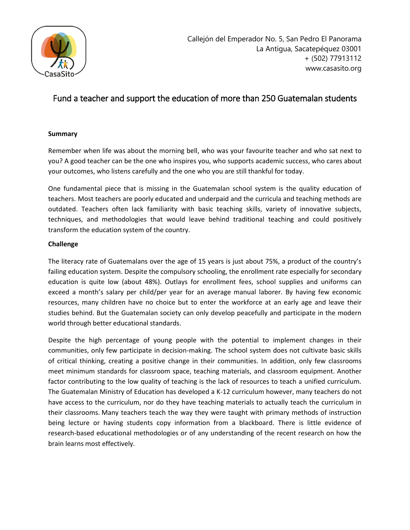

# Fund a teacher and support the education of more than 250 Guatemalan students

# **Summary**

Remember when life was about the morning bell, who was your favourite teacher and who sat next to you? A good teacher can be the one who inspires you, who supports academic success, who cares about your outcomes, who listens carefully and the one who you are still thankful for today.

One fundamental piece that is missing in the Guatemalan school system is the quality education of teachers. Most teachers are poorly educated and underpaid and the curricula and teaching methods are outdated. Teachers often lack familiarity with basic teaching skills, variety of innovative subjects, techniques, and methodologies that would leave behind traditional teaching and could positively transform the education system of the country.

# **Challenge**

The literacy rate of Guatemalans over the age of 15 years is just about 75%, a product of the country's failing education system. Despite the compulsory schooling, the enrollment rate especially for secondary education is quite low (about 48%). Outlays for enrollment fees, school supplies and uniforms can exceed a month's salary per child/per year for an average manual laborer. By having few economic resources, many children have no choice but to enter the workforce at an early age and leave their studies behind. But the Guatemalan society can only develop peacefully and participate in the modern world through better educational standards.

Despite the high percentage of young people with the potential to implement changes in their communities, only few participate in decision-making. The school system does not cultivate basic skills of critical thinking, creating a positive change in their communities. In addition, only few classrooms meet minimum standards for classroom space, teaching materials, and classroom equipment. Another factor contributing to the low quality of teaching is the lack of resources to teach a unified curriculum. The Guatemalan Ministry of Education has developed a K-12 curriculum however, many teachers do not have access to the curriculum, nor do they have teaching materials to actually teach the curriculum in their classrooms. Many teachers teach the way they were taught with primary methods of instruction being lecture or having students copy information from a blackboard. There is little evidence of research-based educational methodologies or of any understanding of the recent research on how the brain learns most effectively.